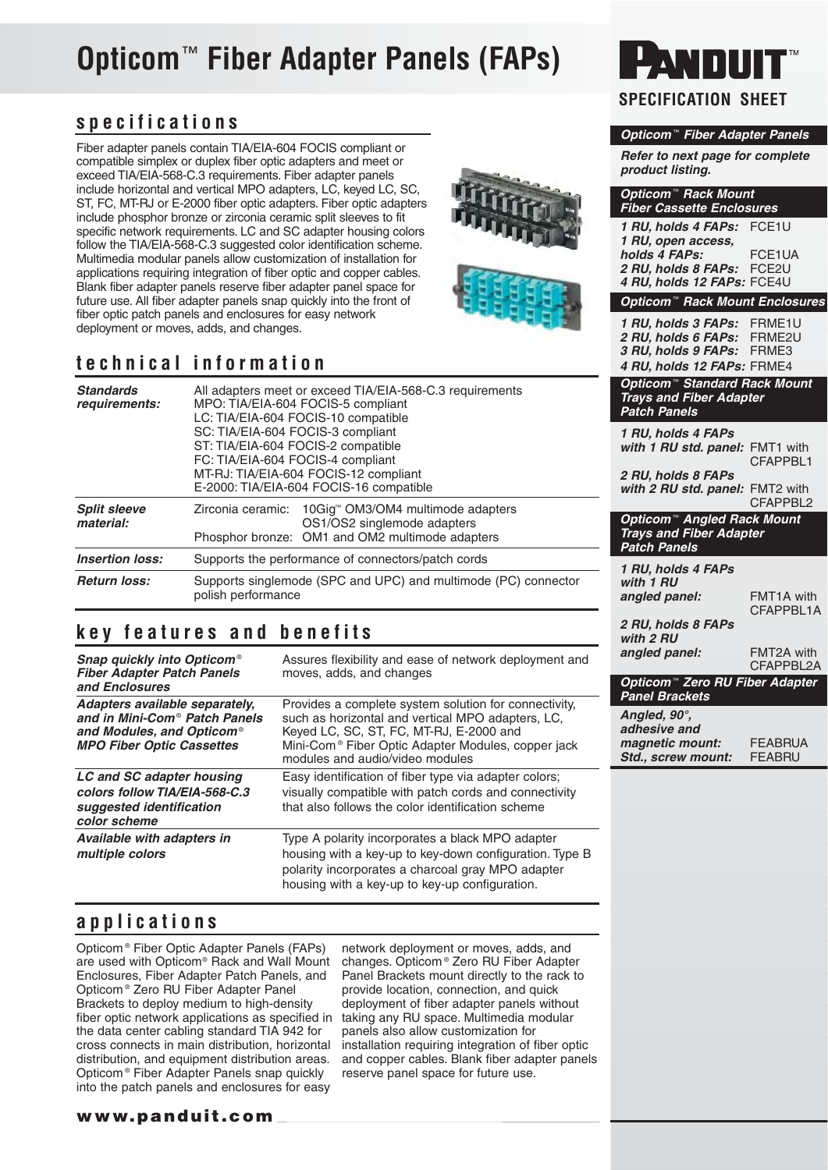# **Opticom**™ **Fiber Adapter Panels (FAPs)**

## **specifications**

Fiber adapter panels contain TIA/EIA-604 FOCIS compliant or compatible simplex or duplex fiber optic adapters and meet or exceed TIA/EIA-568-C.3 requirements. Fiber adapter panels include horizontal and vertical MPO adapters, LC, keyed LC, SC, ST, FC, MT-RJ or E-2000 fiber optic adapters. Fiber optic adapters include phosphor bronze or zirconia ceramic split sleeves to fit specific network requirements. LC and SC adapter housing colors follow the TIA/EIA-568-C.3 suggested color identification scheme. Multimedia modular panels allow customization of installation for applications requiring integration of fiber optic and copper cables. Blank fiber adapter panels reserve fiber adapter panel space for future use. All fiber adapter panels snap quickly into the front of fiber optic patch panels and enclosures for easy network deployment or moves, adds, and changes.

## **technical information**

| <b>Standards</b><br>requirements: | All adapters meet or exceed TIA/EIA-568-C.3 requirements<br>MPO: TIA/EIA-604 FOCIS-5 compliant<br>LC: TIA/EIA-604 FOCIS-10 compatible<br>SC: TIA/EIA-604 FOCIS-3 compliant<br>ST: TIA/EIA-604 FOCIS-2 compatible<br>FC: TIA/EIA-604 FOCIS-4 compliant<br>MT-RJ: TIA/EIA-604 FOCIS-12 compliant<br>E-2000: TIA/EIA-604 FOCIS-16 compatible |  |  |  |  |  |
|-----------------------------------|-------------------------------------------------------------------------------------------------------------------------------------------------------------------------------------------------------------------------------------------------------------------------------------------------------------------------------------------|--|--|--|--|--|
| <b>Split sleeve</b><br>material:  | 10Gig™ OM3/OM4 multimode adapters<br>Zirconia ceramic:<br>OS1/OS2 singlemode adapters<br>Phosphor bronze: OM1 and OM2 multimode adapters                                                                                                                                                                                                  |  |  |  |  |  |
| <b>Insertion loss:</b>            | Supports the performance of connectors/patch cords                                                                                                                                                                                                                                                                                        |  |  |  |  |  |
| <b>Return loss:</b>               | Supports singlemode (SPC and UPC) and multimode (PC) connector<br>polish performance                                                                                                                                                                                                                                                      |  |  |  |  |  |

### **key features and benefits**

| Snap quickly into Opticom <sup>®</sup><br><b>Fiber Adapter Patch Panels</b><br>and Enclosures                                                            | Assures flexibility and ease of network deployment and<br>moves, adds, and changes                                                                                                                                                                         |
|----------------------------------------------------------------------------------------------------------------------------------------------------------|------------------------------------------------------------------------------------------------------------------------------------------------------------------------------------------------------------------------------------------------------------|
| Adapters available separately,<br>and in Mini-Com <sup>®</sup> Patch Panels<br>and Modules, and Opticom <sup>®</sup><br><b>MPO Fiber Optic Cassettes</b> | Provides a complete system solution for connectivity,<br>such as horizontal and vertical MPO adapters, LC,<br>Keyed LC, SC, ST, FC, MT-RJ, E-2000 and<br>Mini-Com <sup>®</sup> Fiber Optic Adapter Modules, copper jack<br>modules and audio/video modules |
| LC and SC adapter housing<br>colors follow TIA/EIA-568-C.3<br>suggested identification<br>color scheme                                                   | Easy identification of fiber type via adapter colors;<br>visually compatible with patch cords and connectivity<br>that also follows the color identification scheme                                                                                        |
| Available with adapters in<br>multiple colors                                                                                                            | Type A polarity incorporates a black MPO adapter<br>housing with a key-up to key-down configuration. Type B<br>polarity incorporates a charcoal gray MPO adapter<br>housing with a key-up to key-up configuration.                                         |

### **applications**

Opticom ® Fiber Optic Adapter Panels (FAPs) are used with Opticom® Rack and Wall Mount Enclosures, Fiber Adapter Patch Panels, and Opticom ® Zero RU Fiber Adapter Panel Brackets to deploy medium to high-density fiber optic network applications as specified in the data center cabling standard TIA 942 for cross connects in main distribution, horizontal distribution, and equipment distribution areas. Opticom ® Fiber Adapter Panels snap quickly into the patch panels and enclosures for easy

network deployment or moves, adds, and changes. Opticom ® Zero RU Fiber Adapter Panel Brackets mount directly to the rack to provide location, connection, and quick deployment of fiber adapter panels without taking any RU space. Multimedia modular panels also allow customization for installation requiring integration of fiber optic and copper cables. Blank fiber adapter panels reserve panel space for future use.

## $\blacksquare$ **SPECIFICATION SHEET**

### **Opticom** ™ **Fiber Adapter Panels**

**Refer to next page for complete product listing.**

| Opticom <sup>™</sup> Rack Mount<br><b>Fiber Cassette Enclosures</b> |                             |
|---------------------------------------------------------------------|-----------------------------|
| 1 RU, holds 4 FAPs:                                                 | FCE1U                       |
| 1 RU, open access,                                                  |                             |
| holds 4 FAPs:<br>2 RU, holds 8 FAPs:                                | FCE1UA<br>FCE <sub>2U</sub> |
| 4 RU, holds 12 FAPs: FCE4U                                          |                             |
| Opticom™ Rack Mount Enclosures                                      |                             |
| 1 RU, holds 3 FAPs:                                                 | FRME1U                      |
| 2 RU, holds 6 FAPs:<br>3 RU, holds 9 FAPs:                          | FRME <sub>2U</sub><br>FRME3 |
| 4 RU, holds 12 FAPs: FRME4                                          |                             |
| Opticom <sup>™</sup> Standard Rack Mount                            |                             |
| <b>Trays and Fiber Adapter</b>                                      |                             |
| <b>Patch Panels</b>                                                 |                             |
| 1 RU, holds 4 FAPs                                                  |                             |
| with 1 RU std. panel:                                               | FMT1 with<br>CFAPPBL1       |
| 2 RU, holds 8 FAPs                                                  |                             |
| with 2 RU std. panel:                                               | FMT <sub>2</sub> with       |
|                                                                     | CFAPPBL2                    |
| Opticom™ Angled Rack Mount<br><b>Trays and Fiber Adapter</b>        |                             |
| <b>Patch Panels</b>                                                 |                             |
| 1 RU, holds 4 FAPs                                                  |                             |
| with 1 RU                                                           | FMT1A with                  |
| angled panel:                                                       | CFAPPBL1A                   |
| 2 RU, holds 8 FAPs                                                  |                             |
| with 2 RU                                                           |                             |
| angled panel:                                                       | FMT2A with<br>CFAPPBL2A     |
| Opticom <sup>™</sup> Zero RU Fiber Adapter                          |                             |
| <b>Panel Brackets</b>                                               |                             |
|                                                                     |                             |
| Angled, 90°,                                                        |                             |
| adhesive and                                                        |                             |
| magnetic mount:                                                     | <b>FEABRUA</b>              |
| Std., screw mount:                                                  | <b>FEABRU</b>               |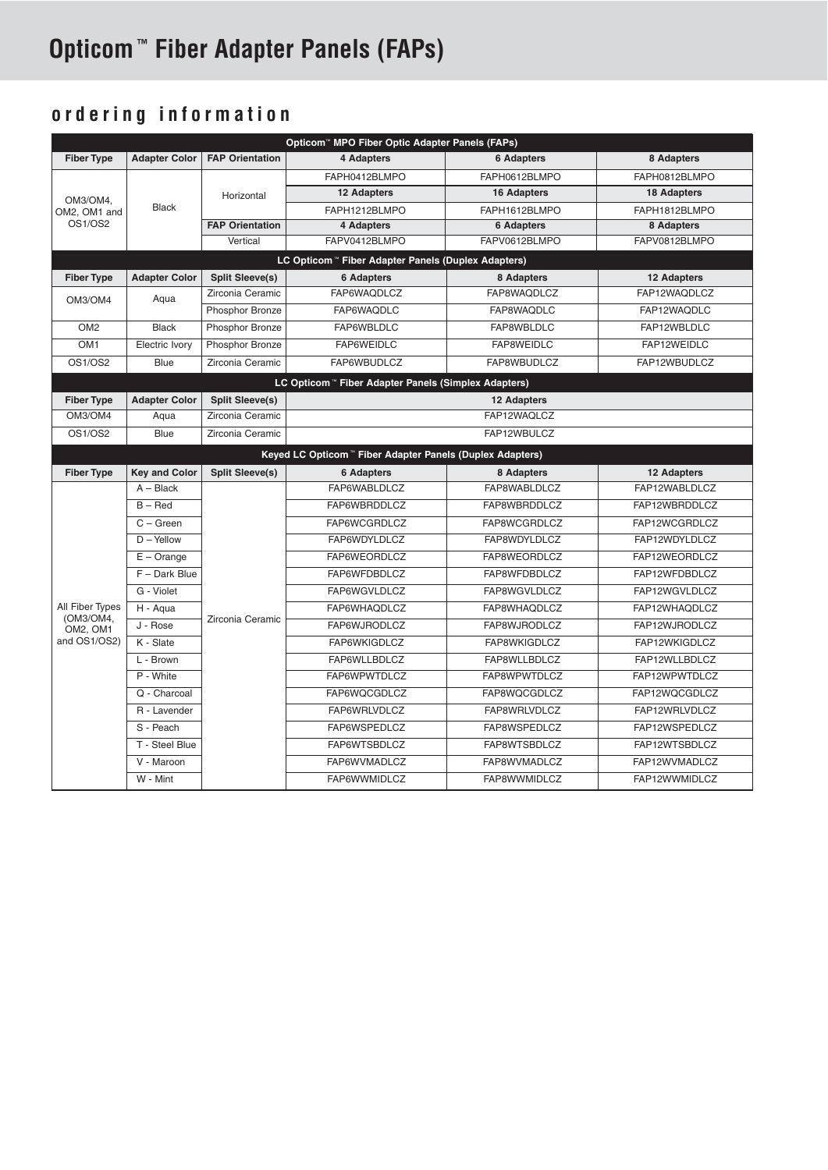## **Opticom ™ Fiber Adapter Panels (FAPs)**

## **ordering information**

| Opticom <sup>™</sup> MPO Fiber Optic Adapter Panels (FAPs) |                                                                |                        |                                                           |                    |                    |  |  |  |  |  |  |
|------------------------------------------------------------|----------------------------------------------------------------|------------------------|-----------------------------------------------------------|--------------------|--------------------|--|--|--|--|--|--|
| <b>Fiber Type</b>                                          | <b>Adapter Color</b>                                           | <b>FAP Orientation</b> | 4 Adapters                                                | <b>6 Adapters</b>  | 8 Adapters         |  |  |  |  |  |  |
| OM3/OM4.<br>OM2. OM1 and<br>OS1/OS2                        |                                                                |                        | FAPH0412BLMPO                                             | FAPH0612BLMPO      | FAPH0812BLMPO      |  |  |  |  |  |  |
|                                                            |                                                                | Horizontal             | 12 Adapters                                               | 16 Adapters        | <b>18 Adapters</b> |  |  |  |  |  |  |
|                                                            | <b>Black</b>                                                   |                        | FAPH1212BLMPO                                             | FAPH1612BLMPO      | FAPH1812BLMPO      |  |  |  |  |  |  |
|                                                            |                                                                | <b>FAP Orientation</b> | 4 Adapters                                                | <b>6 Adapters</b>  | 8 Adapters         |  |  |  |  |  |  |
|                                                            |                                                                | Vertical               | FAPV0412BLMPO                                             | FAPV0612BLMPO      | FAPV0812BLMPO      |  |  |  |  |  |  |
|                                                            | LC Opticom <sup>™</sup> Fiber Adapter Panels (Duplex Adapters) |                        |                                                           |                    |                    |  |  |  |  |  |  |
| <b>Fiber Type</b>                                          | <b>Adapter Color</b>                                           | <b>Split Sleeve(s)</b> | <b>6 Adapters</b>                                         | 8 Adapters         | 12 Adapters        |  |  |  |  |  |  |
| OM3/OM4                                                    | Aqua                                                           | Zirconia Ceramic       | FAP6WAQDLCZ                                               | FAP8WAQDLCZ        | FAP12WAQDLCZ       |  |  |  |  |  |  |
|                                                            |                                                                | Phosphor Bronze        | FAP6WAQDLC                                                | FAP8WAQDLC         | FAP12WAQDLC        |  |  |  |  |  |  |
| OM <sub>2</sub>                                            | <b>Black</b>                                                   | Phosphor Bronze        | FAP6WBLDLC                                                | FAP12WBLDLC        |                    |  |  |  |  |  |  |
| OM <sub>1</sub>                                            | Electric Ivory                                                 | Phosphor Bronze        | FAP6WEIDLC                                                | FAP8WEIDLC         | FAP12WEIDLC        |  |  |  |  |  |  |
| <b>OS1/OS2</b>                                             | Blue                                                           | Zirconia Ceramic       | FAP6WBUDLCZ<br>FAP8WBUDLCZ<br>FAP12WBUDLCZ                |                    |                    |  |  |  |  |  |  |
| LC Opticom " Fiber Adapter Panels (Simplex Adapters)       |                                                                |                        |                                                           |                    |                    |  |  |  |  |  |  |
| <b>Fiber Type</b>                                          | <b>Adapter Color</b>                                           | <b>Split Sleeve(s)</b> |                                                           | <b>12 Adapters</b> |                    |  |  |  |  |  |  |
| OM3/OM4                                                    | Aqua                                                           | Zirconia Ceramic       | FAP12WAQLCZ                                               |                    |                    |  |  |  |  |  |  |
| <b>OS1/OS2</b>                                             | <b>Blue</b>                                                    | Zirconia Ceramic       |                                                           | FAP12WBULCZ        |                    |  |  |  |  |  |  |
|                                                            |                                                                |                        | Keyed LC Opticom " Fiber Adapter Panels (Duplex Adapters) |                    |                    |  |  |  |  |  |  |
|                                                            |                                                                |                        |                                                           |                    |                    |  |  |  |  |  |  |
| <b>Fiber Type</b>                                          | <b>Key and Color</b>                                           | <b>Split Sleeve(s)</b> | <b>6 Adapters</b>                                         | 8 Adapters         | 12 Adapters        |  |  |  |  |  |  |
|                                                            | $A - Black$                                                    |                        | FAP6WABLDLCZ                                              | FAP8WABLDLCZ       | FAP12WABLDLCZ      |  |  |  |  |  |  |
|                                                            | $B - Red$                                                      |                        | FAP6WBRDDLCZ                                              | FAP8WBRDDLCZ       | FAP12WBRDDLCZ      |  |  |  |  |  |  |
|                                                            | $C - Green$                                                    |                        | FAP6WCGRDLCZ                                              | FAP8WCGRDLCZ       | FAP12WCGRDLCZ      |  |  |  |  |  |  |
|                                                            | $D - Y$ ellow                                                  |                        | FAP6WDYLDLCZ                                              | FAP8WDYLDLCZ       | FAP12WDYLDLCZ      |  |  |  |  |  |  |
|                                                            | $E - Orange$                                                   |                        | FAP6WEORDLCZ                                              | FAP8WEORDLCZ       | FAP12WEORDLCZ      |  |  |  |  |  |  |
|                                                            | F - Dark Blue                                                  |                        | FAP6WFDBDLCZ                                              | FAP8WFDBDLCZ       | FAP12WFDBDLCZ      |  |  |  |  |  |  |
|                                                            | G - Violet                                                     |                        | FAP6WGVLDLCZ                                              | FAP8WGVLDLCZ       | FAP12WGVLDLCZ      |  |  |  |  |  |  |
| All Fiber Types                                            | H - Agua                                                       |                        | FAP6WHAQDLCZ                                              | FAP8WHAQDLCZ       | FAP12WHAQDLCZ      |  |  |  |  |  |  |
| (OM3/OM4,<br>OM2. OM1                                      | J - Rose                                                       | Zirconia Ceramic       | FAP6WJRODLCZ                                              | FAP8WJRODLCZ       | FAP12WJRODLCZ      |  |  |  |  |  |  |
| and OS1/OS2)                                               | K - Slate                                                      |                        | FAP6WKIGDLCZ                                              | FAP8WKIGDLCZ       | FAP12WKIGDLCZ      |  |  |  |  |  |  |
|                                                            | L - Brown                                                      |                        | FAP6WLLBDLCZ                                              | FAP8WLLBDLCZ       | FAP12WLLBDLCZ      |  |  |  |  |  |  |
|                                                            | P - White                                                      |                        | FAP6WPWTDLCZ                                              | FAP8WPWTDLCZ       | FAP12WPWTDLCZ      |  |  |  |  |  |  |
|                                                            | Q - Charcoal                                                   |                        | FAP6WQCGDLCZ                                              | FAP8WQCGDLCZ       | FAP12WQCGDLCZ      |  |  |  |  |  |  |
|                                                            | R - Lavender                                                   |                        | FAP6WRLVDLCZ                                              | FAP8WRLVDLCZ       | FAP12WRLVDLCZ      |  |  |  |  |  |  |
|                                                            | S - Peach                                                      |                        | FAP6WSPEDLCZ                                              | FAP8WSPEDLCZ       | FAP12WSPEDLCZ      |  |  |  |  |  |  |
|                                                            | T - Steel Blue                                                 |                        | FAP6WTSBDLCZ                                              | FAP8WTSBDLCZ       | FAP12WTSBDLCZ      |  |  |  |  |  |  |
|                                                            | V - Maroon                                                     |                        | FAP6WVMADLCZ                                              | FAP8WVMADLCZ       | FAP12WVMADLCZ      |  |  |  |  |  |  |